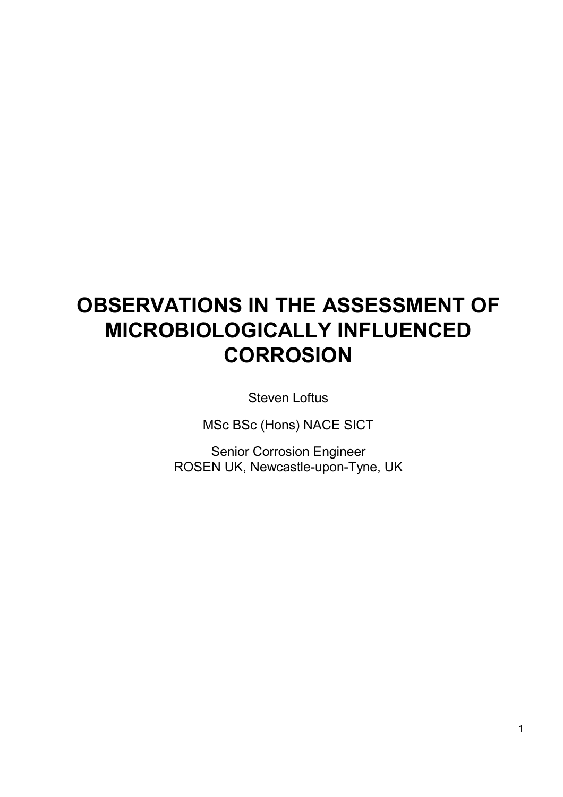# **OBSERVATIONS IN THE ASSESSMENT OF MICROBIOLOGICALLY INFLUENCED CORROSION**

Steven Loftus

MSc BSc (Hons) NACE SICT

Senior Corrosion Engineer ROSEN UK, Newcastle-upon-Tyne, UK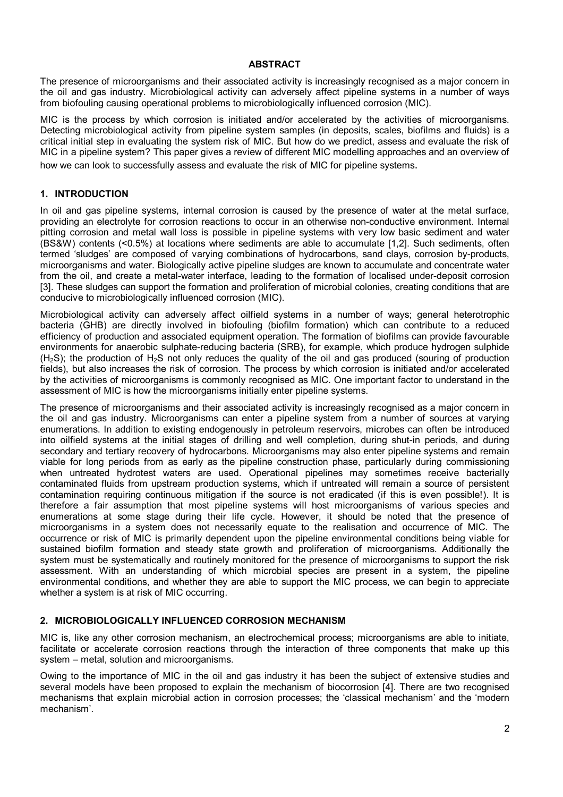#### **ABSTRACT**

The presence of microorganisms and their associated activity is increasingly recognised as a major concern in the oil and gas industry. Microbiological activity can adversely affect pipeline systems in a number of ways from biofouling causing operational problems to microbiologically influenced corrosion (MIC).

MIC is the process by which corrosion is initiated and/or accelerated by the activities of microorganisms. Detecting microbiological activity from pipeline system samples (in deposits, scales, biofilms and fluids) is a critical initial step in evaluating the system risk of MIC. But how do we predict, assess and evaluate the risk of MIC in a pipeline system? This paper gives a review of different MIC modelling approaches and an overview of how we can look to successfully assess and evaluate the risk of MIC for pipeline systems.

#### **1. INTRODUCTION**

In oil and gas pipeline systems, internal corrosion is caused by the presence of water at the metal surface, providing an electrolyte for corrosion reactions to occur in an otherwise non-conductive environment. Internal pitting corrosion and metal wall loss is possible in pipeline systems with very low basic sediment and water (BS&W) contents (<0.5%) at locations where sediments are able to accumulate [1,2]. Such sediments, often termed 'sludges' are composed of varying combinations of hydrocarbons, sand clays, corrosion by-products, microorganisms and water. Biologically active pipeline sludges are known to accumulate and concentrate water from the oil, and create a metal-water interface, leading to the formation of localised under-deposit corrosion [3]. These sludges can support the formation and proliferation of microbial colonies, creating conditions that are conducive to microbiologically influenced corrosion (MIC).

Microbiological activity can adversely affect oilfield systems in a number of ways; general heterotrophic bacteria (GHB) are directly involved in biofouling (biofilm formation) which can contribute to a reduced efficiency of production and associated equipment operation. The formation of biofilms can provide favourable environments for anaerobic sulphate-reducing bacteria (SRB), for example, which produce hydrogen sulphide  $(H<sub>2</sub>S)$ ; the production of H<sub>2</sub>S not only reduces the quality of the oil and gas produced (souring of production fields), but also increases the risk of corrosion. The process by which corrosion is initiated and/or accelerated by the activities of microorganisms is commonly recognised as MIC. One important factor to understand in the assessment of MIC is how the microorganisms initially enter pipeline systems.

The presence of microorganisms and their associated activity is increasingly recognised as a major concern in the oil and gas industry. Microorganisms can enter a pipeline system from a number of sources at varying enumerations. In addition to existing endogenously in petroleum reservoirs, microbes can often be introduced into oilfield systems at the initial stages of drilling and well completion, during shut-in periods, and during secondary and tertiary recovery of hydrocarbons. Microorganisms may also enter pipeline systems and remain viable for long periods from as early as the pipeline construction phase, particularly during commissioning when untreated hydrotest waters are used. Operational pipelines may sometimes receive bacterially contaminated fluids from upstream production systems, which if untreated will remain a source of persistent contamination requiring continuous mitigation if the source is not eradicated (if this is even possible!). It is therefore a fair assumption that most pipeline systems will host microorganisms of various species and enumerations at some stage during their life cycle. However, it should be noted that the presence of microorganisms in a system does not necessarily equate to the realisation and occurrence of MIC. The occurrence or risk of MIC is primarily dependent upon the pipeline environmental conditions being viable for sustained biofilm formation and steady state growth and proliferation of microorganisms. Additionally the system must be systematically and routinely monitored for the presence of microorganisms to support the risk assessment. With an understanding of which microbial species are present in a system, the pipeline environmental conditions, and whether they are able to support the MIC process, we can begin to appreciate whether a system is at risk of MIC occurring.

## **2. MICROBIOLOGICALLY INFLUENCED CORROSION MECHANISM**

MIC is, like any other corrosion mechanism, an electrochemical process; microorganisms are able to initiate, facilitate or accelerate corrosion reactions through the interaction of three components that make up this system – metal, solution and microorganisms.

Owing to the importance of MIC in the oil and gas industry it has been the subject of extensive studies and several models have been proposed to explain the mechanism of biocorrosion [4]. There are two recognised mechanisms that explain microbial action in corrosion processes; the 'classical mechanism' and the 'modern mechanism'.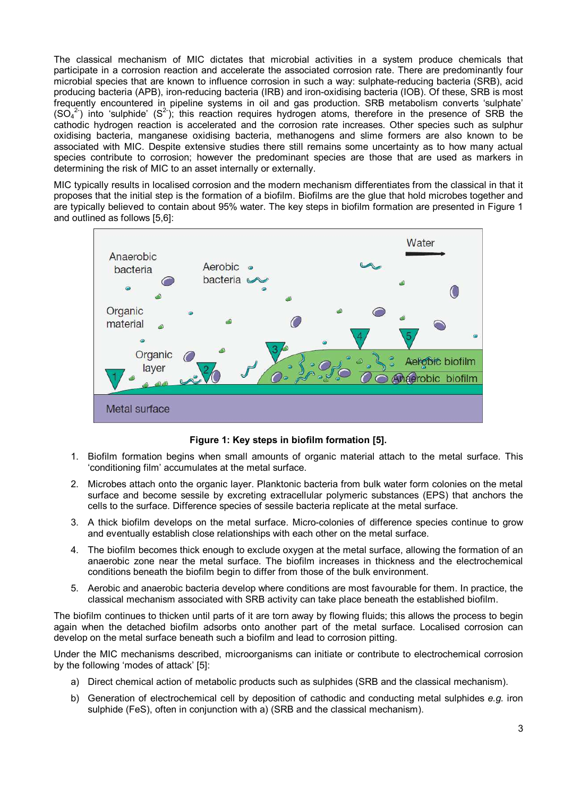The classical mechanism of MIC dictates that microbial activities in a system produce chemicals that participate in a corrosion reaction and accelerate the associated corrosion rate. There are predominantly four microbial species that are known to influence corrosion in such a way: sulphate-reducing bacteria (SRB), acid producing bacteria (APB), iron-reducing bacteria (IRB) and iron-oxidising bacteria (IOB). Of these, SRB is most frequently encountered in pipeline systems in oil and gas production. SRB metabolism converts 'sulphate'  $(SO<sub>4</sub><sup>2</sup>)$  into 'sulphide'  $(S<sup>2</sup>)$ ; this reaction requires hydrogen atoms, therefore in the presence of SRB the cathodic hydrogen reaction is accelerated and the corrosion rate increases. Other species such as sulphur oxidising bacteria, manganese oxidising bacteria, methanogens and slime formers are also known to be associated with MIC. Despite extensive studies there still remains some uncertainty as to how many actual species contribute to corrosion; however the predominant species are those that are used as markers in determining the risk of MIC to an asset internally or externally.

MIC typically results in localised corrosion and the modern mechanism differentiates from the classical in that it proposes that the initial step is the formation of a biofilm. Biofilms are the glue that hold microbes together and are typically believed to contain about 95% water. The key steps in biofilm formation are presented in Figure 1 and outlined as follows [5,6]:



**Figure 1: Key steps in biofilm formation [5].** 

- 1. Biofilm formation begins when small amounts of organic material attach to the metal surface. This 'conditioning film' accumulates at the metal surface.
- 2. Microbes attach onto the organic layer. Planktonic bacteria from bulk water form colonies on the metal surface and become sessile by excreting extracellular polymeric substances (EPS) that anchors the cells to the surface. Difference species of sessile bacteria replicate at the metal surface.
- 3. A thick biofilm develops on the metal surface. Micro-colonies of difference species continue to grow and eventually establish close relationships with each other on the metal surface.
- 4. The biofilm becomes thick enough to exclude oxygen at the metal surface, allowing the formation of an anaerobic zone near the metal surface. The biofilm increases in thickness and the electrochemical conditions beneath the biofilm begin to differ from those of the bulk environment.
- 5. Aerobic and anaerobic bacteria develop where conditions are most favourable for them. In practice, the classical mechanism associated with SRB activity can take place beneath the established biofilm.

The biofilm continues to thicken until parts of it are torn away by flowing fluids; this allows the process to begin again when the detached biofilm adsorbs onto another part of the metal surface. Localised corrosion can develop on the metal surface beneath such a biofilm and lead to corrosion pitting.

Under the MIC mechanisms described, microorganisms can initiate or contribute to electrochemical corrosion by the following 'modes of attack' [5]:

- a) Direct chemical action of metabolic products such as sulphides (SRB and the classical mechanism).
- b) Generation of electrochemical cell by deposition of cathodic and conducting metal sulphides *e.g.* iron sulphide (FeS), often in conjunction with a) (SRB and the classical mechanism).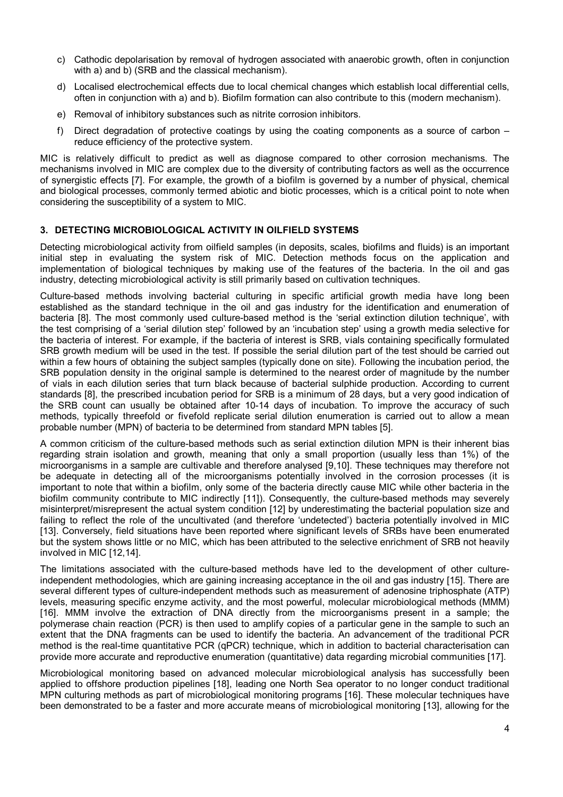- c) Cathodic depolarisation by removal of hydrogen associated with anaerobic growth, often in conjunction with a) and b) (SRB and the classical mechanism).
- d) Localised electrochemical effects due to local chemical changes which establish local differential cells, often in conjunction with a) and b). Biofilm formation can also contribute to this (modern mechanism).
- e) Removal of inhibitory substances such as nitrite corrosion inhibitors.
- f) Direct degradation of protective coatings by using the coating components as a source of carbon reduce efficiency of the protective system.

MIC is relatively difficult to predict as well as diagnose compared to other corrosion mechanisms. The mechanisms involved in MIC are complex due to the diversity of contributing factors as well as the occurrence of synergistic effects [7]. For example, the growth of a biofilm is governed by a number of physical, chemical and biological processes, commonly termed abiotic and biotic processes, which is a critical point to note when considering the susceptibility of a system to MIC.

## **3. DETECTING MICROBIOLOGICAL ACTIVITY IN OILFIELD SYSTEMS**

Detecting microbiological activity from oilfield samples (in deposits, scales, biofilms and fluids) is an important initial step in evaluating the system risk of MIC. Detection methods focus on the application and implementation of biological techniques by making use of the features of the bacteria. In the oil and gas industry, detecting microbiological activity is still primarily based on cultivation techniques.

Culture-based methods involving bacterial culturing in specific artificial growth media have long been established as the standard technique in the oil and gas industry for the identification and enumeration of bacteria [8]. The most commonly used culture-based method is the 'serial extinction dilution technique', with the test comprising of a 'serial dilution step' followed by an 'incubation step' using a growth media selective for the bacteria of interest. For example, if the bacteria of interest is SRB, vials containing specifically formulated SRB growth medium will be used in the test. If possible the serial dilution part of the test should be carried out within a few hours of obtaining the subject samples (typically done on site). Following the incubation period, the SRB population density in the original sample is determined to the nearest order of magnitude by the number of vials in each dilution series that turn black because of bacterial sulphide production. According to current standards [8], the prescribed incubation period for SRB is a minimum of 28 days, but a very good indication of the SRB count can usually be obtained after 10-14 days of incubation. To improve the accuracy of such methods, typically threefold or fivefold replicate serial dilution enumeration is carried out to allow a mean probable number (MPN) of bacteria to be determined from standard MPN tables [5].

A common criticism of the culture-based methods such as serial extinction dilution MPN is their inherent bias regarding strain isolation and growth, meaning that only a small proportion (usually less than 1%) of the microorganisms in a sample are cultivable and therefore analysed [9,10]. These techniques may therefore not be adequate in detecting all of the microorganisms potentially involved in the corrosion processes (it is important to note that within a biofilm, only some of the bacteria directly cause MIC while other bacteria in the biofilm community contribute to MIC indirectly [11]). Consequently, the culture-based methods may severely misinterpret/misrepresent the actual system condition [12] by underestimating the bacterial population size and failing to reflect the role of the uncultivated (and therefore 'undetected') bacteria potentially involved in MIC [13]. Conversely, field situations have been reported where significant levels of SRBs have been enumerated but the system shows little or no MIC, which has been attributed to the selective enrichment of SRB not heavily involved in MIC [12,14].

The limitations associated with the culture-based methods have led to the development of other cultureindependent methodologies, which are gaining increasing acceptance in the oil and gas industry [15]. There are several different types of culture-independent methods such as measurement of adenosine triphosphate (ATP) levels, measuring specific enzyme activity, and the most powerful, molecular microbiological methods (MMM) [16]. MMM involve the extraction of DNA directly from the microorganisms present in a sample; the polymerase chain reaction (PCR) is then used to amplify copies of a particular gene in the sample to such an extent that the DNA fragments can be used to identify the bacteria. An advancement of the traditional PCR method is the real-time quantitative PCR (qPCR) technique, which in addition to bacterial characterisation can provide more accurate and reproductive enumeration (quantitative) data regarding microbial communities [17].

Microbiological monitoring based on advanced molecular microbiological analysis has successfully been applied to offshore production pipelines [18], leading one North Sea operator to no longer conduct traditional MPN culturing methods as part of microbiological monitoring programs [16]. These molecular techniques have been demonstrated to be a faster and more accurate means of microbiological monitoring [13], allowing for the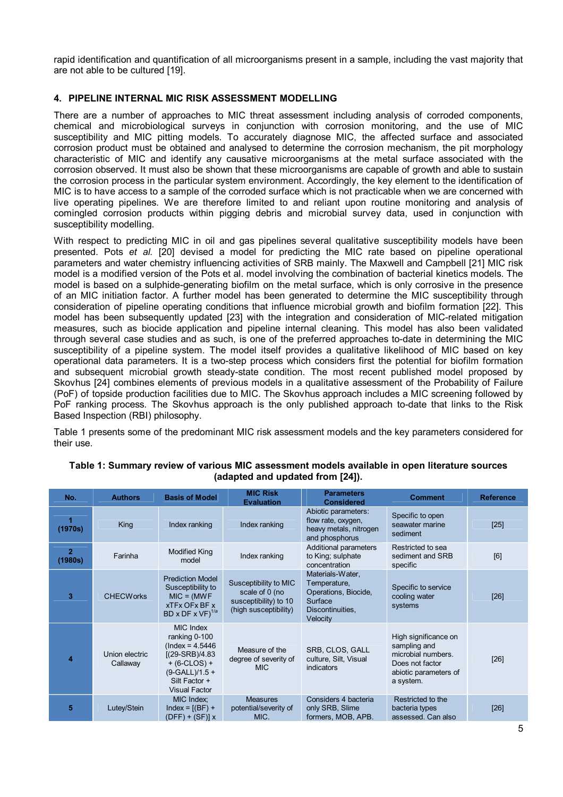rapid identification and quantification of all microorganisms present in a sample, including the vast majority that are not able to be cultured [19].

# **4. PIPELINE INTERNAL MIC RISK ASSESSMENT MODELLING**

There are a number of approaches to MIC threat assessment including analysis of corroded components, chemical and microbiological surveys in conjunction with corrosion monitoring, and the use of MIC susceptibility and MIC pitting models. To accurately diagnose MIC, the affected surface and associated corrosion product must be obtained and analysed to determine the corrosion mechanism, the pit morphology characteristic of MIC and identify any causative microorganisms at the metal surface associated with the corrosion observed. It must also be shown that these microorganisms are capable of growth and able to sustain the corrosion process in the particular system environment. Accordingly, the key element to the identification of MIC is to have access to a sample of the corroded surface which is not practicable when we are concerned with live operating pipelines. We are therefore limited to and reliant upon routine monitoring and analysis of comingled corrosion products within pigging debris and microbial survey data, used in conjunction with susceptibility modelling.

With respect to predicting MIC in oil and gas pipelines several qualitative susceptibility models have been presented. Pots *et al.* [20] devised a model for predicting the MIC rate based on pipeline operational parameters and water chemistry influencing activities of SRB mainly. The Maxwell and Campbell [21] MIC risk model is a modified version of the Pots et al. model involving the combination of bacterial kinetics models. The model is based on a sulphide-generating biofilm on the metal surface, which is only corrosive in the presence of an MIC initiation factor. A further model has been generated to determine the MIC susceptibility through consideration of pipeline operating conditions that influence microbial growth and biofilm formation [22]. This model has been subsequently updated [23] with the integration and consideration of MIC-related mitigation measures, such as biocide application and pipeline internal cleaning. This model has also been validated through several case studies and as such, is one of the preferred approaches to-date in determining the MIC susceptibility of a pipeline system. The model itself provides a qualitative likelihood of MIC based on key operational data parameters. It is a two-step process which considers first the potential for biofilm formation and subsequent microbial growth steady-state condition. The most recent published model proposed by Skovhus [24] combines elements of previous models in a qualitative assessment of the Probability of Failure (PoF) of topside production facilities due to MIC. The Skovhus approach includes a MIC screening followed by PoF ranking process. The Skovhus approach is the only published approach to-date that links to the Risk Based Inspection (RBI) philosophy.

Table 1 presents some of the predominant MIC risk assessment models and the key parameters considered for their use.

| No.                       | <b>Authors</b>             | <b>Basis of Model</b>                                                                                                                                       | <b>MIC Risk</b><br><b>Evaluation</b>                                                      | <b>Parameters</b><br><b>Considered</b>                                                              | <b>Comment</b>                                                                                                      | <b>Reference</b> |
|---------------------------|----------------------------|-------------------------------------------------------------------------------------------------------------------------------------------------------------|-------------------------------------------------------------------------------------------|-----------------------------------------------------------------------------------------------------|---------------------------------------------------------------------------------------------------------------------|------------------|
| (1970s)                   | King                       | Index ranking                                                                                                                                               | Index ranking                                                                             | Abiotic parameters:<br>flow rate, oxygen,<br>heavy metals, nitrogen<br>and phosphorus               | Specific to open<br>seawater marine<br>sediment                                                                     | $[25]$           |
| $\overline{2}$<br>(1980s) | Farinha                    | <b>Modified King</b><br>model                                                                                                                               | Index ranking                                                                             | Additional parameters<br>to King; sulphate<br>concentration                                         | Restricted to sea<br>sediment and SRB<br>specific                                                                   | [6]              |
| 3                         | <b>CHECWorks</b>           | <b>Prediction Model</b><br>Susceptibility to<br>$MIC = (MWF)$<br><b>xTFx OFx BF x</b><br>BD x DF x $VF)^{1/a}$                                              | Susceptibility to MIC<br>scale of 0 (no<br>susceptibility) to 10<br>(high susceptibility) | Materials-Water,<br>Temperature,<br>Operations, Biocide,<br>Surface<br>Discontinuities,<br>Velocity | Specific to service<br>cooling water<br>systems                                                                     | [26]             |
| 4                         | Union electric<br>Callaway | <b>MIC Index</b><br>ranking 0-100<br>$($ lndex = 4.5446<br>$[(29-SRB)/4.83]$<br>$+ (6-CLOS) +$<br>$(9-GALL)/1.5 +$<br>Silt Factor +<br><b>Visual Factor</b> | Measure of the<br>degree of severity of<br><b>MIC</b>                                     | SRB, CLOS, GALL<br>culture, Silt, Visual<br>indicators                                              | High significance on<br>sampling and<br>microbial numbers.<br>Does not factor<br>abiotic parameters of<br>a system. | [26]             |
| 5                         | Lutey/Stein                | MIC Index;<br>$Index = [(BF) +$<br>$(DFF) + (SF)$ ] x                                                                                                       | <b>Measures</b><br>potential/severity of<br>MIC.                                          | Considers 4 bacteria<br>only SRB, Slime<br>formers, MOB, APB.                                       | Restricted to the<br>bacteria types<br>assessed. Can also                                                           | [26]             |

#### **Table 1: Summary review of various MIC assessment models available in open literature sources (adapted and updated from [24]).**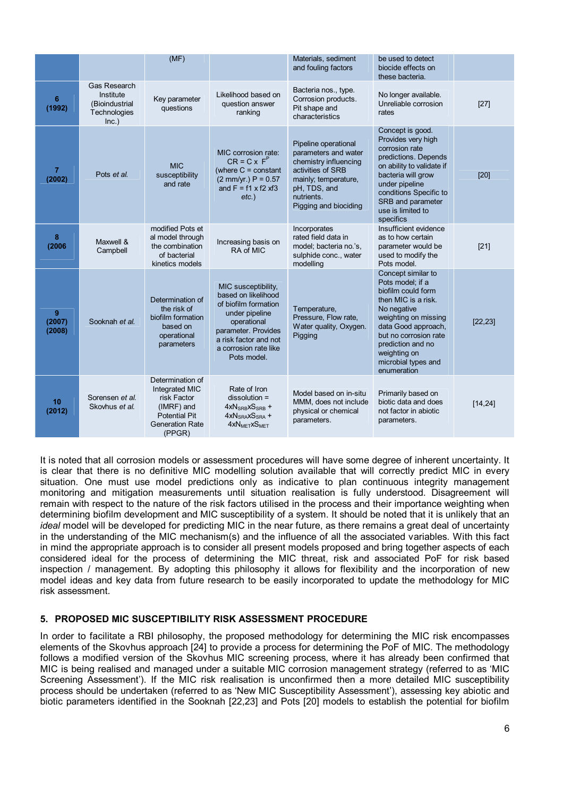|                          |                                                                      | (MF)                                                                                                                        |                                                                                                                                                                                             | Materials, sediment<br>and fouling factors                                                                                                                                | be used to detect<br>biocide effects on<br>these bacteria.                                                                                                                                                                                            |          |
|--------------------------|----------------------------------------------------------------------|-----------------------------------------------------------------------------------------------------------------------------|---------------------------------------------------------------------------------------------------------------------------------------------------------------------------------------------|---------------------------------------------------------------------------------------------------------------------------------------------------------------------------|-------------------------------------------------------------------------------------------------------------------------------------------------------------------------------------------------------------------------------------------------------|----------|
| 6<br>(1992)              | Gas Research<br>Institute<br>(Bioindustrial<br>Technologies<br>Inc.) | Key parameter<br>questions                                                                                                  | Likelihood based on<br>question answer<br>ranking                                                                                                                                           | Bacteria nos., type.<br>Corrosion products.<br>Pit shape and<br>characteristics                                                                                           | No longer available.<br>Unreliable corrosion<br>rates                                                                                                                                                                                                 | $[27]$   |
| $\overline{7}$<br>(2002) | Pots et al.                                                          | <b>MIC</b><br>susceptibility<br>and rate                                                                                    | MIC corrosion rate:<br>$CR = C \times FP$<br>(where $C = constant$<br>$(2 mm/yr.) P = 0.57$<br>and $F = f1 \times f2 \times f3$<br>$etc.$ )                                                 | Pipeline operational<br>parameters and water<br>chemistry influencing<br>activities of SRB<br>mainly; temperature,<br>pH, TDS, and<br>nutrients.<br>Pigging and biociding | Concept is good.<br>Provides very high<br>corrosion rate<br>predictions. Depends<br>on ability to validate if<br>bacteria will grow<br>under pipeline<br>conditions Specific to<br>SRB and parameter<br>use is limited to<br>specifics                | $[20]$   |
| 8<br>(2006)              | Maxwell &<br>Campbell                                                | modified Pots et<br>al model through<br>the combination<br>of bacterial<br>kinetics models                                  | Increasing basis on<br>RA of MIC                                                                                                                                                            | Incorporates<br>rated field data in<br>model; bacteria no.'s,<br>sulphide conc., water<br>modelling                                                                       | Insufficient evidence<br>as to how certain<br>parameter would be<br>used to modify the<br>Pots model.                                                                                                                                                 | $[21]$   |
| 9<br>(2007)<br>(2008)    | Sooknah et al.                                                       | Determination of<br>the risk of<br>biofilm formation<br>based on<br>operational<br>parameters                               | MIC susceptibility,<br>based on likelihood<br>of biofilm formation<br>under pipeline<br>operational<br>parameter. Provides<br>a risk factor and not<br>a corrosion rate like<br>Pots model. | Temperature,<br>Pressure, Flow rate,<br>Water quality, Oxygen.<br>Pigging                                                                                                 | Concept similar to<br>Pots model; if a<br>biofilm could form<br>then MIC is a risk.<br>No negative<br>weighting on missing<br>data Good approach,<br>but no corrosion rate<br>prediction and no<br>weighting on<br>microbial types and<br>enumeration | [22, 23] |
| 10<br>(2012)             | Sorensen et al.<br>Skovhus et al.                                    | Determination of<br>Integrated MIC<br>risk Factor<br>(IMRF) and<br><b>Potential Pit</b><br><b>Generation Rate</b><br>(PPGR) | Rate of Iron<br>$dissolution =$<br>$4xNSRB xSSRB +4xN_{SRA}xS_{SRA} +4XNMETXSMET$                                                                                                           | Model based on in-situ<br>MMM, does not include<br>physical or chemical<br>parameters.                                                                                    | Primarily based on<br>biotic data and does<br>not factor in abiotic<br>parameters.                                                                                                                                                                    | [14, 24] |

It is noted that all corrosion models or assessment procedures will have some degree of inherent uncertainty. It is clear that there is no definitive MIC modelling solution available that will correctly predict MIC in every situation. One must use model predictions only as indicative to plan continuous integrity management monitoring and mitigation measurements until situation realisation is fully understood. Disagreement will remain with respect to the nature of the risk factors utilised in the process and their importance weighting when determining biofilm development and MIC susceptibility of a system. It should be noted that it is unlikely that an *ideal* model will be developed for predicting MIC in the near future, as there remains a great deal of uncertainty in the understanding of the MIC mechanism(s) and the influence of all the associated variables. With this fact in mind the appropriate approach is to consider all present models proposed and bring together aspects of each considered ideal for the process of determining the MIC threat, risk and associated PoF for risk based inspection / management. By adopting this philosophy it allows for flexibility and the incorporation of new model ideas and key data from future research to be easily incorporated to update the methodology for MIC risk assessment.

## **5. PROPOSED MIC SUSCEPTIBILITY RISK ASSESSMENT PROCEDURE**

In order to facilitate a RBI philosophy, the proposed methodology for determining the MIC risk encompasses elements of the Skovhus approach [24] to provide a process for determining the PoF of MIC. The methodology follows a modified version of the Skovhus MIC screening process, where it has already been confirmed that MIC is being realised and managed under a suitable MIC corrosion management strategy (referred to as 'MIC Screening Assessment'). If the MIC risk realisation is unconfirmed then a more detailed MIC susceptibility process should be undertaken (referred to as 'New MIC Susceptibility Assessment'), assessing key abiotic and biotic parameters identified in the Sooknah [22,23] and Pots [20] models to establish the potential for biofilm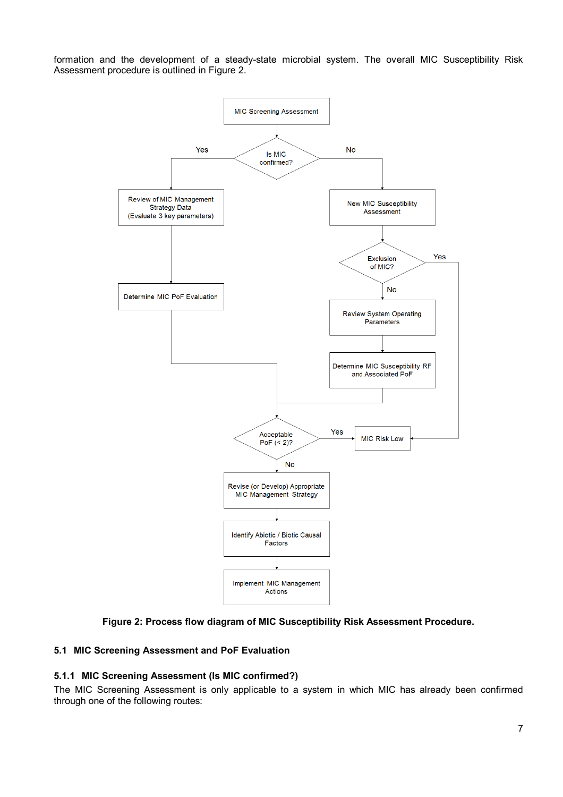formation and the development of a steady-state microbial system. The overall MIC Susceptibility Risk Assessment procedure is outlined in Figure 2.



# **Figure 2: Process flow diagram of MIC Susceptibility Risk Assessment Procedure.**

## **5.1 MIC Screening Assessment and PoF Evaluation**

## **5.1.1 MIC Screening Assessment (Is MIC confirmed?)**

The MIC Screening Assessment is only applicable to a system in which MIC has already been confirmed through one of the following routes: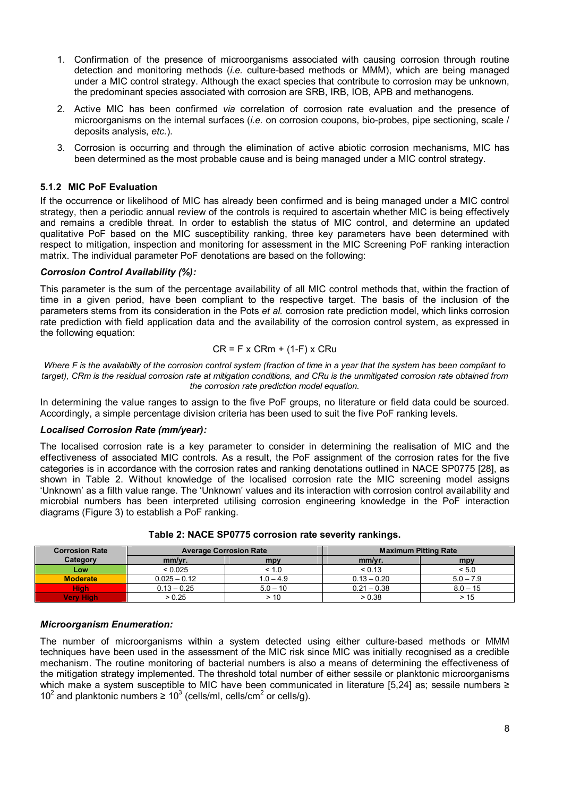- 1. Confirmation of the presence of microorganisms associated with causing corrosion through routine detection and monitoring methods (*i.e.* culture-based methods or MMM), which are being managed under a MIC control strategy. Although the exact species that contribute to corrosion may be unknown, the predominant species associated with corrosion are SRB, IRB, IOB, APB and methanogens.
- 2. Active MIC has been confirmed *via* correlation of corrosion rate evaluation and the presence of microorganisms on the internal surfaces (*i.e.* on corrosion coupons, bio-probes, pipe sectioning, scale / deposits analysis, *etc.*).
- 3. Corrosion is occurring and through the elimination of active abiotic corrosion mechanisms, MIC has been determined as the most probable cause and is being managed under a MIC control strategy.

#### **5.1.2 MIC PoF Evaluation**

If the occurrence or likelihood of MIC has already been confirmed and is being managed under a MIC control strategy, then a periodic annual review of the controls is required to ascertain whether MIC is being effectively and remains a credible threat. In order to establish the status of MIC control, and determine an updated qualitative PoF based on the MIC susceptibility ranking, three key parameters have been determined with respect to mitigation, inspection and monitoring for assessment in the MIC Screening PoF ranking interaction matrix. The individual parameter PoF denotations are based on the following:

#### *Corrosion Control Availability (%):*

This parameter is the sum of the percentage availability of all MIC control methods that, within the fraction of time in a given period, have been compliant to the respective target. The basis of the inclusion of the parameters stems from its consideration in the Pots *et al.* corrosion rate prediction model, which links corrosion rate prediction with field application data and the availability of the corrosion control system, as expressed in the following equation:

#### $CR = F \times C Rm + (1-F) \times CRu$

*Where F is the availability of the corrosion control system (fraction of time in a year that the system has been compliant to target), CRm is the residual corrosion rate at mitigation conditions, and CRu is the unmitigated corrosion rate obtained from the corrosion rate prediction model equation.* 

In determining the value ranges to assign to the five PoF groups, no literature or field data could be sourced. Accordingly, a simple percentage division criteria has been used to suit the five PoF ranking levels.

#### *Localised Corrosion Rate (mm/year):*

The localised corrosion rate is a key parameter to consider in determining the realisation of MIC and the effectiveness of associated MIC controls. As a result, the PoF assignment of the corrosion rates for the five categories is in accordance with the corrosion rates and ranking denotations outlined in NACE SP0775 [28], as shown in Table 2. Without knowledge of the localised corrosion rate the MIC screening model assigns 'Unknown' as a filth value range. The 'Unknown' values and its interaction with corrosion control availability and microbial numbers has been interpreted utilising corrosion engineering knowledge in the PoF interaction diagrams (Figure 3) to establish a PoF ranking.

| <b>Corrosion Rate</b> | <b>Average Corrosion Rate</b> |             | <b>Maximum Pitting Rate</b> |             |
|-----------------------|-------------------------------|-------------|-----------------------------|-------------|
| Category              | mm/yr.                        | mpy         | mm/yr.                      | mpy         |
| Low                   | < 0.025                       | < 1.0       | < 0.13                      | < 5.0       |
| <b>Moderate</b>       | $0.025 - 0.12$                | $1.0 - 4.9$ | $0.13 - 0.20$               | $5.0 - 7.9$ |
| <b>High</b>           | $0.13 - 0.25$                 | $5.0 - 10$  | $0.21 - 0.38$               | $8.0 - 15$  |
| <b>Very High</b>      | > 0.25                        | >10         | > 0.38                      | > 15        |

**Table 2: NACE SP0775 corrosion rate severity rankings.** 

#### *Microorganism Enumeration:*

The number of microorganisms within a system detected using either culture-based methods or MMM techniques have been used in the assessment of the MIC risk since MIC was initially recognised as a credible mechanism. The routine monitoring of bacterial numbers is also a means of determining the effectiveness of the mitigation strategy implemented. The threshold total number of either sessile or planktonic microorganisms which make a system susceptible to MIC have been communicated in literature [5,24] as; sessile numbers ≥ 10<sup>2</sup> and planktonic numbers  $\geq 10^3$  (cells/ml, cells/cm<sup>2</sup> or cells/g).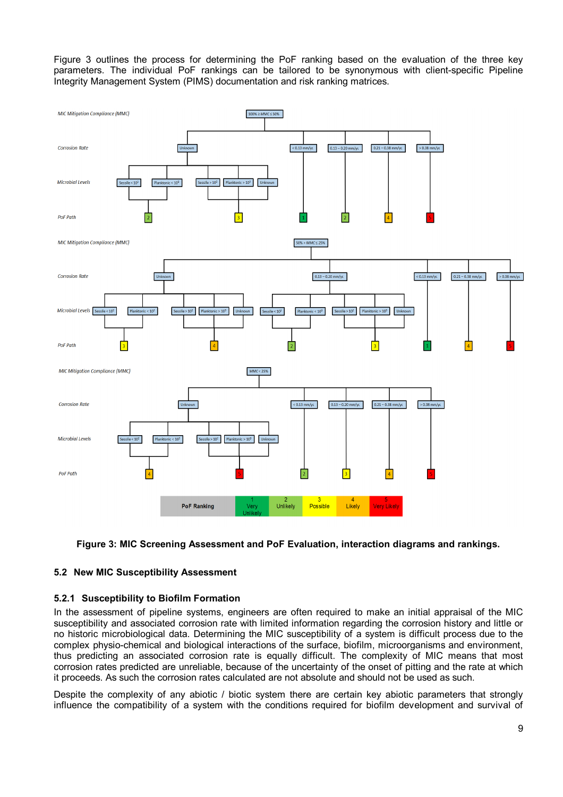Figure 3 outlines the process for determining the PoF ranking based on the evaluation of the three key parameters. The individual PoF rankings can be tailored to be synonymous with client-specific Pipeline Integrity Management System (PIMS) documentation and risk ranking matrices.



## **Figure 3: MIC Screening Assessment and PoF Evaluation, interaction diagrams and rankings.**

## **5.2 New MIC Susceptibility Assessment**

## **5.2.1 Susceptibility to Biofilm Formation**

In the assessment of pipeline systems, engineers are often required to make an initial appraisal of the MIC susceptibility and associated corrosion rate with limited information regarding the corrosion history and little or no historic microbiological data. Determining the MIC susceptibility of a system is difficult process due to the complex physio-chemical and biological interactions of the surface, biofilm, microorganisms and environment, thus predicting an associated corrosion rate is equally difficult. The complexity of MIC means that most corrosion rates predicted are unreliable, because of the uncertainty of the onset of pitting and the rate at which it proceeds. As such the corrosion rates calculated are not absolute and should not be used as such.

Despite the complexity of any abiotic / biotic system there are certain key abiotic parameters that strongly influence the compatibility of a system with the conditions required for biofilm development and survival of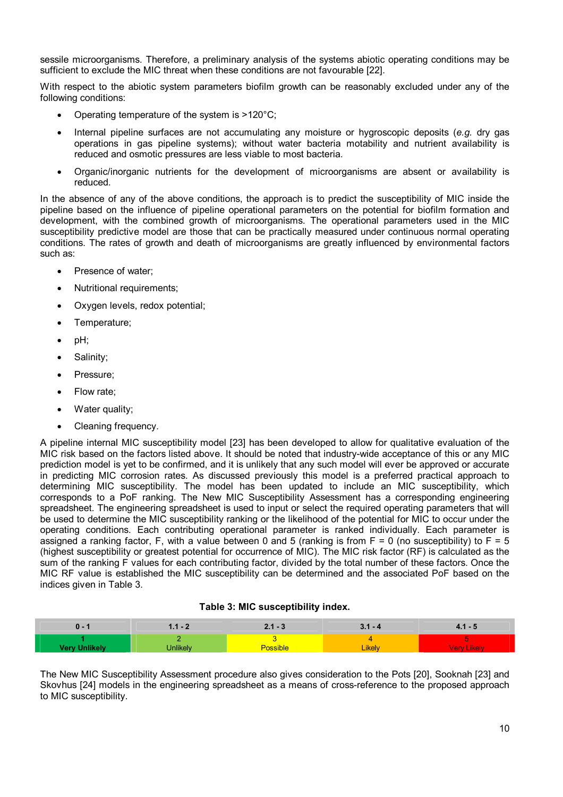sessile microorganisms. Therefore, a preliminary analysis of the systems abiotic operating conditions may be sufficient to exclude the MIC threat when these conditions are not favourable [22].

With respect to the abiotic system parameters biofilm growth can be reasonably excluded under any of the following conditions:

- Operating temperature of the system is >120°C;
- Internal pipeline surfaces are not accumulating any moisture or hygroscopic deposits (*e.g.* dry gas operations in gas pipeline systems); without water bacteria motability and nutrient availability is reduced and osmotic pressures are less viable to most bacteria.
- Organic/inorganic nutrients for the development of microorganisms are absent or availability is reduced.

In the absence of any of the above conditions, the approach is to predict the susceptibility of MIC inside the pipeline based on the influence of pipeline operational parameters on the potential for biofilm formation and development, with the combined growth of microorganisms. The operational parameters used in the MIC susceptibility predictive model are those that can be practically measured under continuous normal operating conditions. The rates of growth and death of microorganisms are greatly influenced by environmental factors such as:

- Presence of water:
- Nutritional requirements;
- Oxygen levels, redox potential;
- Temperature;
- pH;
- Salinity;
- Pressure:
- Flow rate;
- Water quality;
- Cleaning frequency.

A pipeline internal MIC susceptibility model [23] has been developed to allow for qualitative evaluation of the MIC risk based on the factors listed above. It should be noted that industry-wide acceptance of this or any MIC prediction model is yet to be confirmed, and it is unlikely that any such model will ever be approved or accurate in predicting MIC corrosion rates. As discussed previously this model is a preferred practical approach to determining MIC susceptibility. The model has been updated to include an MIC susceptibility, which corresponds to a PoF ranking. The New MIC Susceptibility Assessment has a corresponding engineering spreadsheet. The engineering spreadsheet is used to input or select the required operating parameters that will be used to determine the MIC susceptibility ranking or the likelihood of the potential for MIC to occur under the operating conditions. Each contributing operational parameter is ranked individually. Each parameter is assigned a ranking factor, F, with a value between 0 and 5 (ranking is from  $F = 0$  (no susceptibility) to  $F = 5$ (highest susceptibility or greatest potential for occurrence of MIC). The MIC risk factor (RF) is calculated as the sum of the ranking F values for each contributing factor, divided by the total number of these factors. Once the MIC RF value is established the MIC susceptibility can be determined and the associated PoF based on the indices given in Table 3.

#### **Table 3: MIC susceptibility index.**

| 0 - | 41 - 2          | 2.1 - 3         | $3.1 - 4$     | $4.1 - 5$   |
|-----|-----------------|-----------------|---------------|-------------|
|     | <b>Jnlikely</b> | <b>Possible</b> | <b>Likely</b> | Verv Likelv |

The New MIC Susceptibility Assessment procedure also gives consideration to the Pots [20], Sooknah [23] and Skovhus [24] models in the engineering spreadsheet as a means of cross-reference to the proposed approach to MIC susceptibility.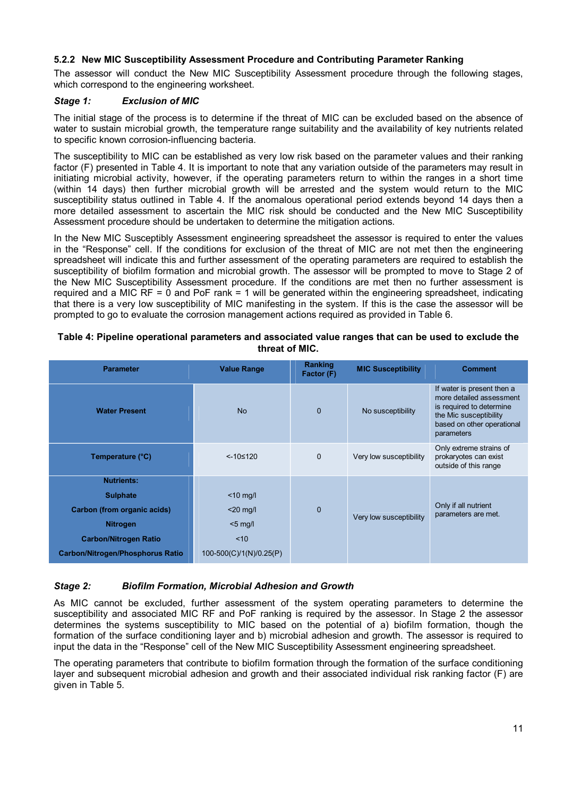# **5.2.2 New MIC Susceptibility Assessment Procedure and Contributing Parameter Ranking**

The assessor will conduct the New MIC Susceptibility Assessment procedure through the following stages, which correspond to the engineering worksheet.

#### *Stage 1: Exclusion of MIC*

The initial stage of the process is to determine if the threat of MIC can be excluded based on the absence of water to sustain microbial growth, the temperature range suitability and the availability of key nutrients related to specific known corrosion-influencing bacteria.

The susceptibility to MIC can be established as very low risk based on the parameter values and their ranking factor (F) presented in Table 4. It is important to note that any variation outside of the parameters may result in initiating microbial activity, however, if the operating parameters return to within the ranges in a short time (within 14 days) then further microbial growth will be arrested and the system would return to the MIC susceptibility status outlined in Table 4. If the anomalous operational period extends beyond 14 days then a more detailed assessment to ascertain the MIC risk should be conducted and the New MIC Susceptibility Assessment procedure should be undertaken to determine the mitigation actions.

In the New MIC Susceptibly Assessment engineering spreadsheet the assessor is required to enter the values in the "Response" cell. If the conditions for exclusion of the threat of MIC are not met then the engineering spreadsheet will indicate this and further assessment of the operating parameters are required to establish the susceptibility of biofilm formation and microbial growth. The assessor will be prompted to move to Stage 2 of the New MIC Susceptibility Assessment procedure. If the conditions are met then no further assessment is required and a MIC RF = 0 and PoF rank = 1 will be generated within the engineering spreadsheet, indicating that there is a very low susceptibility of MIC manifesting in the system. If this is the case the assessor will be prompted to go to evaluate the corrosion management actions required as provided in Table 6.

| <b>Parameter</b>                        | <b>Value Range</b>      | Ranking<br>Factor (F) | <b>MIC Susceptibility</b> | <b>Comment</b>                                                                                                                                           |
|-----------------------------------------|-------------------------|-----------------------|---------------------------|----------------------------------------------------------------------------------------------------------------------------------------------------------|
| <b>Water Present</b>                    | <b>No</b>               | $\mathbf 0$           | No susceptibility         | If water is present then a<br>more detailed assessment<br>is required to determine<br>the Mic susceptibility<br>based on other operational<br>parameters |
| Temperature (°C)                        | $< -10 \le 120$         | $\mathbf 0$           | Very low susceptibility   | Only extreme strains of<br>prokaryotes can exist<br>outside of this range                                                                                |
| <b>Nutrients:</b>                       |                         |                       |                           |                                                                                                                                                          |
| <b>Sulphate</b>                         | $<$ 10 mg/l             |                       |                           |                                                                                                                                                          |
| Carbon (from organic acids)             | $<$ 20 mg/l             | $\mathbf 0$           | Very low susceptibility   | Only if all nutrient<br>parameters are met.                                                                                                              |
| <b>Nitrogen</b>                         | $<$ 5 mg/l              |                       |                           |                                                                                                                                                          |
| <b>Carbon/Nitrogen Ratio</b>            | ~10                     |                       |                           |                                                                                                                                                          |
| <b>Carbon/Nitrogen/Phosphorus Ratio</b> | 100-500(C)/1(N)/0.25(P) |                       |                           |                                                                                                                                                          |

#### **Table 4: Pipeline operational parameters and associated value ranges that can be used to exclude the threat of MIC.**

## *Stage 2: Biofilm Formation, Microbial Adhesion and Growth*

As MIC cannot be excluded, further assessment of the system operating parameters to determine the susceptibility and associated MIC RF and PoF ranking is required by the assessor. In Stage 2 the assessor determines the systems susceptibility to MIC based on the potential of a) biofilm formation, though the formation of the surface conditioning layer and b) microbial adhesion and growth. The assessor is required to input the data in the "Response" cell of the New MIC Susceptibility Assessment engineering spreadsheet.

The operating parameters that contribute to biofilm formation through the formation of the surface conditioning layer and subsequent microbial adhesion and growth and their associated individual risk ranking factor (F) are given in Table 5.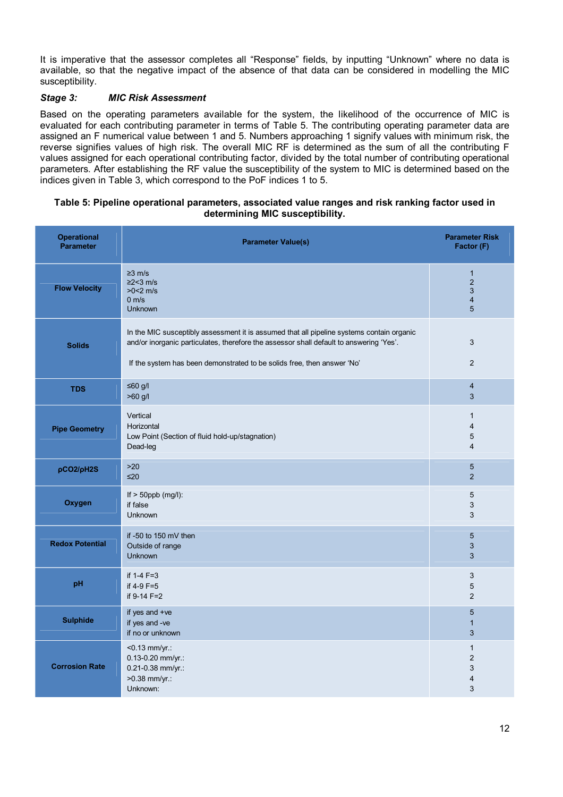It is imperative that the assessor completes all "Response" fields, by inputting "Unknown" where no data is available, so that the negative impact of the absence of that data can be considered in modelling the MIC susceptibility.

## *Stage 3: MIC Risk Assessment*

Based on the operating parameters available for the system, the likelihood of the occurrence of MIC is evaluated for each contributing parameter in terms of Table 5. The contributing operating parameter data are assigned an F numerical value between 1 and 5. Numbers approaching 1 signify values with minimum risk, the reverse signifies values of high risk. The overall MIC RF is determined as the sum of all the contributing F values assigned for each operational contributing factor, divided by the total number of contributing operational parameters. After establishing the RF value the susceptibility of the system to MIC is determined based on the indices given in Table 3, which correspond to the PoF indices 1 to 5.

#### **Table 5: Pipeline operational parameters, associated value ranges and risk ranking factor used in determining MIC susceptibility.**

| <b>Operational</b><br><b>Parameter</b> | <b>Parameter Value(s)</b>                                                                                                                                                                                                                                       | <b>Parameter Risk</b><br>Factor (F)                        |
|----------------------------------------|-----------------------------------------------------------------------------------------------------------------------------------------------------------------------------------------------------------------------------------------------------------------|------------------------------------------------------------|
| <b>Flow Velocity</b>                   | $\geq$ 3 m/s<br>$\geq$ 2<3 m/s<br>$>0<2$ m/s<br>0 m/s<br><b>Unknown</b>                                                                                                                                                                                         | $\mathbf{1}$<br>$\overline{2}$<br>3<br>$\overline{4}$<br>5 |
| <b>Solids</b>                          | In the MIC susceptibly assessment it is assumed that all pipeline systems contain organic<br>and/or inorganic particulates, therefore the assessor shall default to answering 'Yes'.<br>If the system has been demonstrated to be solids free, then answer 'No' | 3<br>2                                                     |
| <b>TDS</b>                             | $≤60$ g/l<br>>60 g/l                                                                                                                                                                                                                                            | 4<br>3                                                     |
| <b>Pipe Geometry</b>                   | Vertical<br>Horizontal<br>Low Point (Section of fluid hold-up/stagnation)<br>Dead-leg                                                                                                                                                                           | $\mathbf{1}$<br>$\overline{4}$<br>5<br>$\overline{4}$      |
| pCO2/pH2S                              | >20<br>≤20                                                                                                                                                                                                                                                      | 5<br>$\overline{2}$                                        |
| Oxygen                                 | If $>$ 50ppb (mg/l):<br>if false<br><b>Unknown</b>                                                                                                                                                                                                              | 5<br>3<br>3                                                |
| <b>Redox Potential</b>                 | if -50 to 150 mV then<br>Outside of range<br><b>Unknown</b>                                                                                                                                                                                                     | 5<br>3<br>3                                                |
| pH                                     | if $1-4$ $F=3$<br>if 4-9 F=5<br>if 9-14 F=2                                                                                                                                                                                                                     | 3<br>5<br>$\overline{2}$                                   |
| <b>Sulphide</b>                        | if yes and +ve<br>if yes and -ve<br>if no or unknown                                                                                                                                                                                                            | 5<br>$\mathbf{1}$<br>$\ensuremath{\mathsf{3}}$             |
| <b>Corrosion Rate</b>                  | $< 0.13$ mm/yr:<br>0.13-0.20 mm/yr.:<br>0.21-0.38 mm/yr.:<br>>0.38 mm/yr.:<br>Unknown:                                                                                                                                                                          | $\mathbf{1}$<br>$\overline{2}$<br>3<br>4<br>3              |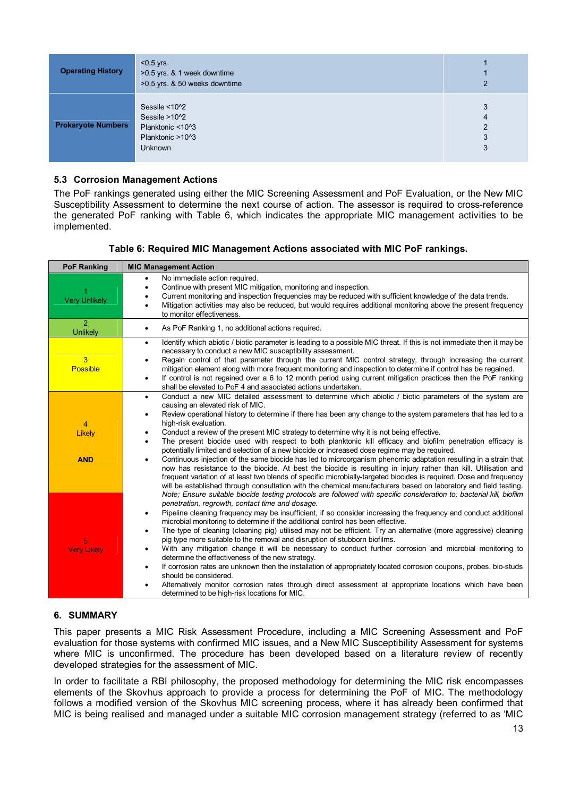| <b>Operating History</b>  | $<$ 0.5 yrs.<br>>0.5 yrs. & 1 week downtime<br>>0.5 yrs. & 50 weeks downtime                  | $\overline{2}$                     |
|---------------------------|-----------------------------------------------------------------------------------------------|------------------------------------|
| <b>Prokaryote Numbers</b> | Sessile $<$ 10 $2$<br>Sessile >10^2<br>Planktonic <10^3<br>Planktonic >10^3<br><b>Unknown</b> | 3<br>$\overline{4}$<br>2<br>3<br>3 |

#### **5.3 Corrosion Management Actions**

The PoF rankings generated using either the MIC Screening Assessment and PoF Evaluation, or the New MIC Susceptibility Assessment to determine the next course of action. The assessor is required to cross-reference the generated PoF ranking with Table 6, which indicates the appropriate MIC management activities to be implemented.

## **Table 6: Required MIC Management Actions associated with MIC PoF rankings.**

| <b>PoF Ranking</b>                | <b>MIC Management Action</b>                                                                                                                                                                                                                                                                                                                                                                                                                                                                                                                                                                                                                                          |
|-----------------------------------|-----------------------------------------------------------------------------------------------------------------------------------------------------------------------------------------------------------------------------------------------------------------------------------------------------------------------------------------------------------------------------------------------------------------------------------------------------------------------------------------------------------------------------------------------------------------------------------------------------------------------------------------------------------------------|
| 1<br><b>Very Unlikely</b>         | No immediate action required.<br>٠<br>Continue with present MIC mitigation, monitoring and inspection.<br>$\bullet$<br>Current monitoring and inspection frequencies may be reduced with sufficient knowledge of the data trends.<br>$\bullet$<br>Mitigation activities may also be reduced, but would requires additional monitoring above the present frequency<br>$\bullet$<br>to monitor effectiveness.                                                                                                                                                                                                                                                           |
| $\overline{a}$<br><b>Unlikely</b> | As PoF Ranking 1, no additional actions required.<br>$\bullet$                                                                                                                                                                                                                                                                                                                                                                                                                                                                                                                                                                                                        |
| 3<br><b>Possible</b>              | Identify which abiotic / biotic parameter is leading to a possible MIC threat. If this is not immediate then it may be<br>$\bullet$<br>necessary to conduct a new MIC susceptibility assessment.<br>Regain control of that parameter through the current MIC control strategy, through increasing the current<br>$\bullet$<br>mitigation element along with more frequent monitoring and inspection to determine if control has be regained.<br>If control is not regained over a 6 to 12 month period using current mitigation practices then the PoF ranking<br>$\bullet$<br>shall be elevated to PoF 4 and associated actions undertaken.                          |
|                                   | Conduct a new MIC detailed assessment to determine which abiotic / biotic parameters of the system are<br>٠<br>causing an elevated risk of MIC.<br>Review operational history to determine if there has been any change to the system parameters that has led to a<br>٠                                                                                                                                                                                                                                                                                                                                                                                               |
| 4                                 | high-risk evaluation.                                                                                                                                                                                                                                                                                                                                                                                                                                                                                                                                                                                                                                                 |
| Likely                            | Conduct a review of the present MIC strategy to determine why it is not being effective.<br>٠<br>The present biocide used with respect to both planktonic kill efficacy and biofilm penetration efficacy is<br>$\bullet$                                                                                                                                                                                                                                                                                                                                                                                                                                              |
|                                   | potentially limited and selection of a new biocide or increased dose regime may be required.                                                                                                                                                                                                                                                                                                                                                                                                                                                                                                                                                                          |
| <b>AND</b>                        | Continuous injection of the same biocide has led to microorganism phenomic adaptation resulting in a strain that<br>$\bullet$<br>now has resistance to the biocide. At best the biocide is resulting in injury rather than kill. Utilisation and<br>frequent variation of at least two blends of specific microbially-targeted biocides is required. Dose and frequency<br>will be established through consultation with the chemical manufacturers based on laboratory and field testing.<br>Note; Ensure suitable biocide testing protocols are followed with specific consideration to; bacterial kill, biofilm<br>penetration, regrowth, contact time and dosage. |
|                                   | Pipeline cleaning frequency may be insufficient, if so consider increasing the frequency and conduct additional<br>$\bullet$                                                                                                                                                                                                                                                                                                                                                                                                                                                                                                                                          |
|                                   | microbial monitoring to determine if the additional control has been effective.<br>The type of cleaning (cleaning pig) utilised may not be efficient. Try an alternative (more aggressive) cleaning<br>$\bullet$<br>pig type more suitable to the removal and disruption of stubborn biofilms.                                                                                                                                                                                                                                                                                                                                                                        |
| 5<br><b>Very Likely</b>           | With any mitigation change it will be necessary to conduct further corrosion and microbial monitoring to<br>٠                                                                                                                                                                                                                                                                                                                                                                                                                                                                                                                                                         |
|                                   | determine the effectiveness of the new strategy.                                                                                                                                                                                                                                                                                                                                                                                                                                                                                                                                                                                                                      |
|                                   | If corrosion rates are unknown then the installation of appropriately located corrosion coupons, probes, bio-studs<br>$\bullet$<br>should be considered.                                                                                                                                                                                                                                                                                                                                                                                                                                                                                                              |
|                                   | Alternatively monitor corrosion rates through direct assessment at appropriate locations which have been<br>٠<br>determined to be high-risk locations for MIC.                                                                                                                                                                                                                                                                                                                                                                                                                                                                                                        |

## **6. SUMMARY**

This paper presents a MIC Risk Assessment Procedure, including a MIC Screening Assessment and PoF evaluation for those systems with confirmed MIC issues, and a New MIC Susceptibility Assessment for systems where MIC is unconfirmed. The procedure has been developed based on a literature review of recently developed strategies for the assessment of MIC.

In order to facilitate a RBI philosophy, the proposed methodology for determining the MIC risk encompasses elements of the Skovhus approach to provide a process for determining the PoF of MIC. The methodology follows a modified version of the Skovhus MIC screening process, where it has already been confirmed that MIC is being realised and managed under a suitable MIC corrosion management strategy (referred to as 'MIC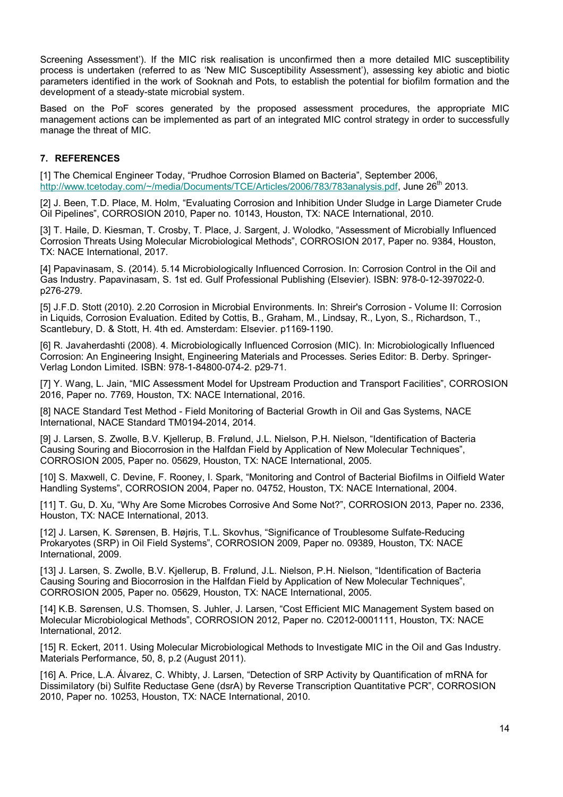Screening Assessment'). If the MIC risk realisation is unconfirmed then a more detailed MIC susceptibility process is undertaken (referred to as 'New MIC Susceptibility Assessment'), assessing key abiotic and biotic parameters identified in the work of Sooknah and Pots, to establish the potential for biofilm formation and the development of a steady-state microbial system.

Based on the PoF scores generated by the proposed assessment procedures, the appropriate MIC management actions can be implemented as part of an integrated MIC control strategy in order to successfully manage the threat of MIC.

# **7. REFERENCES**

[1] The Chemical Engineer Today, "Prudhoe Corrosion Blamed on Bacteria", September 2006, http://www.tcetoday.com/~/media/Documents/TCE/Articles/2006/783/783analysis.pdf, June 26<sup>th</sup> 2013.

[2] J. Been, T.D. Place, M. Holm, "Evaluating Corrosion and Inhibition Under Sludge in Large Diameter Crude Oil Pipelines", CORROSION 2010, Paper no. 10143, Houston, TX: NACE International, 2010.

[3] T. Haile, D. Kiesman, T. Crosby, T. Place, J. Sargent, J. Wolodko, "Assessment of Microbially Influenced Corrosion Threats Using Molecular Microbiological Methods", CORROSION 2017, Paper no. 9384, Houston, TX: NACE International, 2017.

[4] Papavinasam, S. (2014). 5.14 Microbiologically Influenced Corrosion. In: Corrosion Control in the Oil and Gas Industry. Papavinasam, S. 1st ed. Gulf Professional Publishing (Elsevier). ISBN: 978-0-12-397022-0. p276-279.

[5] J.F.D. Stott (2010). 2.20 Corrosion in Microbial Environments. In: Shreir's Corrosion - Volume II: Corrosion in Liquids, Corrosion Evaluation. Edited by Cottis, B., Graham, M., Lindsay, R., Lyon, S., Richardson, T., Scantlebury, D. & Stott, H. 4th ed. Amsterdam: Elsevier. p1169-1190.

[6] R. Javaherdashti (2008). 4. Microbiologically Influenced Corrosion (MIC). In: Microbiologically Influenced Corrosion: An Engineering Insight, Engineering Materials and Processes. Series Editor: B. Derby. Springer-Verlag London Limited. ISBN: 978-1-84800-074-2. p29-71.

[7] Y. Wang, L. Jain, "MIC Assessment Model for Upstream Production and Transport Facilities", CORROSION 2016, Paper no. 7769, Houston, TX: NACE International, 2016.

[8] NACE Standard Test Method - Field Monitoring of Bacterial Growth in Oil and Gas Systems, NACE International, NACE Standard TM0194-2014, 2014.

[9] J. Larsen, S. Zwolle, B.V. Kjellerup, B. Frølund, J.L. Nielson, P.H. Nielson, "Identification of Bacteria Causing Souring and Biocorrosion in the Halfdan Field by Application of New Molecular Techniques", CORROSION 2005, Paper no. 05629, Houston, TX: NACE International, 2005.

[10] S. Maxwell, C. Devine, F. Rooney, I. Spark, "Monitoring and Control of Bacterial Biofilms in Oilfield Water Handling Systems", CORROSION 2004, Paper no. 04752, Houston, TX: NACE International, 2004.

[11] T. Gu, D. Xu, "Why Are Some Microbes Corrosive And Some Not?", CORROSION 2013, Paper no. 2336, Houston, TX: NACE International, 2013.

[12] J. Larsen, K. Sørensen, B. Højris, T.L. Skovhus, "Significance of Troublesome Sulfate-Reducing Prokaryotes (SRP) in Oil Field Systems", CORROSION 2009, Paper no. 09389, Houston, TX: NACE International, 2009.

[13] J. Larsen, S. Zwolle, B.V. Kjellerup, B. Frølund, J.L. Nielson, P.H. Nielson, "Identification of Bacteria Causing Souring and Biocorrosion in the Halfdan Field by Application of New Molecular Techniques", CORROSION 2005, Paper no. 05629, Houston, TX: NACE International, 2005.

[14] K.B. Sørensen, U.S. Thomsen, S. Juhler, J. Larsen, "Cost Efficient MIC Management System based on Molecular Microbiological Methods", CORROSION 2012, Paper no. C2012-0001111, Houston, TX: NACE International, 2012.

[15] R. Eckert, 2011. Using Molecular Microbiological Methods to Investigate MIC in the Oil and Gas Industry. Materials Performance, 50, 8, p.2 (August 2011).

[16] A. Price, L.A. Álvarez, C. Whibty, J. Larsen, "Detection of SRP Activity by Quantification of mRNA for Dissimilatory (bi) Sulfite Reductase Gene (dsrA) by Reverse Transcription Quantitative PCR", CORROSION 2010, Paper no. 10253, Houston, TX: NACE International, 2010.